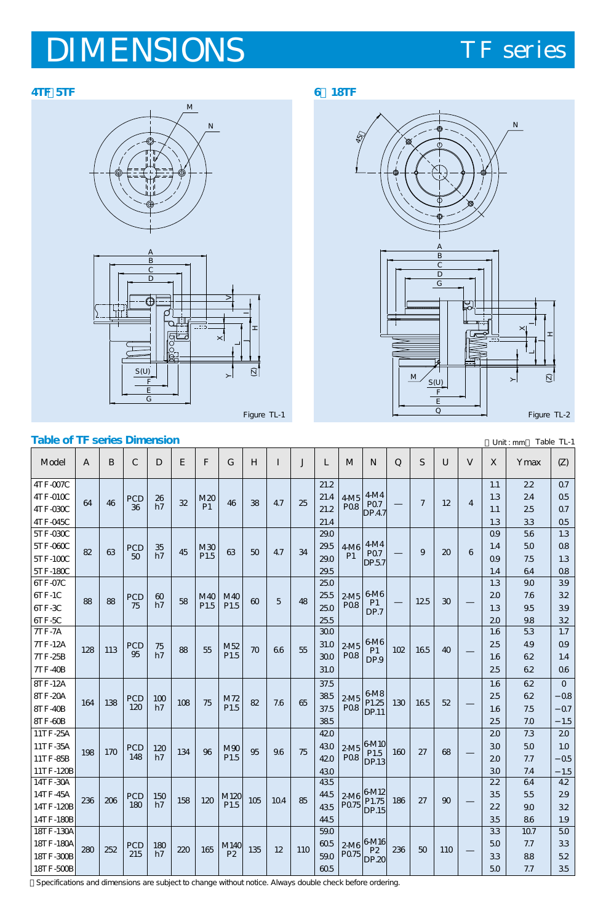# **DIMENSIONS** TF series





# N

 $\frac{1}{2}$ 



**Table of TF series Dimension** Table TL-1 Specifications and dimensions are subject to change without notice. Always double check before ordering. Model 6TF-07C 6TF-1C 6TF-3C 6TF-5C 7TF-7A 7TF-12A 7TF-25B 7TF-40B 8TF-12A 8TF-20A 8TF-40B 8TF-60B 11TF-25A 11TF-35A 11TF-85B 11TF-120B 14TF-30A 14TF-45A 14TF-120B 14TF-180B 25.0 25.5 25.0 25.5 300 31.0 30.0 31.0 37.5 38.5 37.5 38.5  $420$ 43.0 42.0 43.0 43.5  $44.5$ 43.5 44.5 88 128 164 198 236  $88$  PCD 75 M40 P1.5 PCD 95 PCD 120 **PCD** 148 **PCD** 180 M40 P1.5 M52 P1.5 M72 P1.5  $M90$ P1.5 M120 P1.5 2-M5 P0.8 6-M6 P1 DP.7 6-M6 P1 DP.9 6-M8 P1.25  $DP.11$ 6-M10 P<sub>1.5</sub>  $DP<sub>13</sub>$  $|6M12$ P1.75 P0.75 DP.15 2-M5 P0.8 2-M5 **PO.8** 2-M5 **PO.8** 2-M6 60 h7 75  $h\bar{z}$  $100$ h7  $120$  $h7$ 150 h7 113 138 170 206 58 88 108 134 158 60  $70$ 82 95 105 5  $66$ 7.6 9.6 10.4 48 55 65 75 85  $\begin{array}{|c|c|c|c|c|c|} \hline 12.5 & 30 \hline \end{array}$ 16.5 16.5 27 27 30  $40$ 52 68  $90$ 102 130 160 186 55 75 96 120 1.3 2.0 1.3 2.0 1.6 25 1.6 2.5 1.6  $25$ 1.6 2.5  $20$ 3.0 2.0 30 22 3.5 2.2 3.5 3.9 3.2 3.9 3.2 1.7 0.9 1.4 0.6  $\overline{0}$ -0.8  $\Omega$ -1.5  $20$ 1.0 -0.5 -1.5  $\overline{42}$ 2.9 3.2 1.9 ABCDEFGH I J L 9.0 7.6 **95** 9.8 5TF-030C 5TF-060C 5TF-100C 5TF-180C 29.0 29.5 29.0 29.5  $82 \begin{array}{|c|c|} \hline \end{array}$  RCD 50 M30 P1.5 4-M6 P1 4-M4 P0.7 DP.5.7  $\frac{35}{h}$  $\frac{10}{107}$  45  $\frac{1000}{1015}$  63  $\frac{50}{10}$  47  $\frac{34}{20}$   $\frac{1000}{101}$  P07  $\frac{100}{100}$  9  $\frac{30}{20}$ 0.9 1.4 0.9 1.4 1.3 0.8 1.3 0.8 5.6 5.0 7.5 6.4 4TF-007C 4TF-010C 4TF-030C 4TF-045C 21.2 21.4 21.2 21.4  $64 \mid 46 \mid PCD$ 36 M20<br>P1  $\begin{array}{c|c|c|c|c|c|c} \text{M20} & 46 & 38 & 47 & 25 & 212 & 208 \\ \end{array}$ P0.8 4-M4 P0.7 DP.4.7  $\frac{26}{h7}$  $\frac{12}{h7}$  32  $\frac{120}{h1}$  46 38 47  $\frac{25}{212}$   $\frac{120}{h100}$   $\frac{120}{h101}$  7  $\frac{120}{h100}$ 1.1 1.3 1.1 1.3 0.7  $0.5$ 0.7 0.5 2.2 2.4 2.5 3.3 5.3 4.9 6.2 62 62 62 7.5 7.0 7.3 5.0 7.7 7.4 64 5.5 9.0 8.6 18TF-130A 18TF-180A 18TF-300B 18TF-500B  $590$  $605$ 59.0 60.5  $280 \Big| 252 \Big|$  PCD 215 M140 P2  $6-$ M16 P2  $DP.20$ 2-M6 P0.75 180<br>h7  $\frac{252}{215} \begin{vmatrix} 100 \\ 17 \end{vmatrix}$  220 165  $\begin{vmatrix} 101-80 \\ 12 \end{vmatrix}$  135 12 110  $\begin{vmatrix} 110 \\ 590 \end{vmatrix}$  p0.75  $\begin{vmatrix} 12 \\ 50 \end{vmatrix}$  236  $\begin{vmatrix} 50 \\ 110 \end{vmatrix}$ 3.3  $50$ 3.3 5.0  $\overline{50}$ 3.3 5.2 3.5  $\overline{107}$ 7.7 8.8 7.7  $M$  | N | Q | S | U | V | X | Ymax 6 4  $V \mid X \mid \text{Ymax} \mid Z$ Unit : mm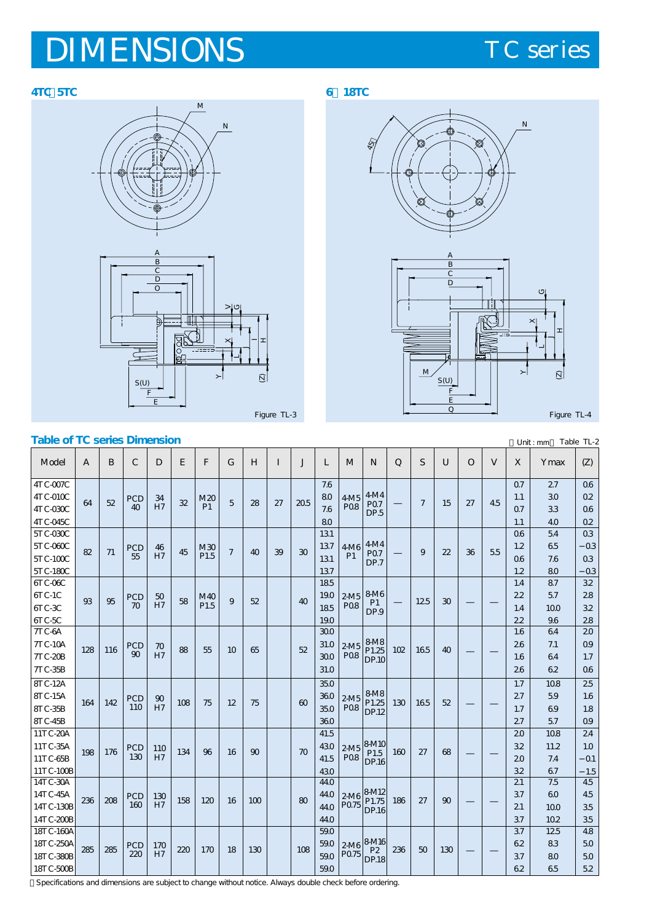# IMENSIONS TC series

### **4TC・5TC 6~18TC**

M N







| <b>Table of TC series Dimension</b><br>Unit: mm |              |     |               |     |     |                  |        |     |              |              |      |                   | Table TL-2                     |              |              |              |          |     |                |      |                |
|-------------------------------------------------|--------------|-----|---------------|-----|-----|------------------|--------|-----|--------------|--------------|------|-------------------|--------------------------------|--------------|--------------|--------------|----------|-----|----------------|------|----------------|
| Model                                           | $\mathbf{A}$ | B   | $\mathcal{C}$ | D   | E   | F                | G      | H   | $\mathbf{I}$ | $\mathbf{J}$ | L    | M                 | N                              | $\mathsf{Q}$ | <sub>S</sub> | U            | $\Omega$ | V   | X              | Ymax | (Z)            |
| 4TC-007C                                        |              |     |               |     |     |                  |        |     |              |              | 7.6  |                   |                                |              |              |              |          |     | Q <sub>7</sub> | 27   | Q6             |
| $4TC-010C$                                      | 64           | 52  | PCD           | 34  | 32  | M20              | 5      | 28  | 27           | 20.5         | 80   | 4M5               | 4M4                            |              | 7            | 15           | 27       | 45  | 1.1            | 30   | Q2             |
| 4TC-030C                                        |              |     | 40            | H7  |     | P1               |        |     |              |              | 7.6  | <b>PO8</b>        | P <sub>O</sub> 7<br>DP.5       |              |              |              |          |     | Q <sub>7</sub> | 33   | Q6             |
| 4TC-045C                                        |              |     |               |     |     |                  |        |     |              |              | 80   |                   |                                |              |              |              |          |     | 1.1            | 40   | Q <sub>2</sub> |
| 5TC-030C                                        |              |     |               |     |     |                  |        |     |              |              | 131  |                   |                                |              |              |              |          |     | 06             | 54   | Q <sub>3</sub> |
| 5TC-060C                                        | 82           | 71  | PCD           | 46  | 45  | M30              | $\tau$ | 40  | 39           | 30           | 137  | 4M6               | 4M <sub>4</sub>                |              | 9            | 22           | 36       | 5.5 | 1.2            | 65   | 0 <sub>3</sub> |
| $5T$ C- $100C$                                  |              |     | 55            | H7  |     | P <sub>1.5</sub> |        |     |              |              | 131  | P <sub>1</sub>    | P <sub>07</sub><br>DP.7        |              |              |              |          |     | 06             | 7.6  | Q <sub>3</sub> |
| 5TC-180C                                        |              |     |               |     |     |                  |        |     |              |              | 137  |                   |                                |              |              |              |          |     | 1.2            | 80   | 0.3            |
| 6TC-O6C                                         |              |     |               |     |     |                  |        |     |              |              | 185  |                   |                                |              |              |              |          |     | 1.4            | 87   | 32             |
| $6T C-1C$                                       | 93           | 95  | PCD           | 50  | 58  | M40              | 9      | 52  |              | 40           | 190  | $2-M5$            | <b>8M6</b>                     |              | 125          | 30           |          |     | 22             | 5.7  | 28             |
| $6TC-3C$                                        |              |     | $70^{\circ}$  | H7  |     | P <sub>1.5</sub> |        |     |              |              | 185  | <b>PO8</b>        | P1<br>DP.9                     |              |              |              |          |     | 1.4            | 100  | 32             |
| $6TC-5C$                                        |              |     |               |     |     |                  |        |     |              |              | 190  |                   |                                |              |              |              |          |     | 22             | 96   | 28             |
| 7TC-6A                                          |              |     |               |     |     |                  |        |     |              |              | 300  |                   |                                |              |              |              |          |     | 1.6            | 64   | 20             |
| <b>7TC-10A</b>                                  | 128          | 116 | PCD           | 70  | 88  | 55               | 10     | 65  |              | 52           | 31.0 | $2-M5$            | <b>8M8</b><br>P1.25            | 102          | 165          | 40           |          |     | 26             | 7.1  | Q <sub>9</sub> |
| <b>7TC-20B</b>                                  |              |     | 90            | H7  |     |                  |        |     |              |              | 300  | <b>PO8</b>        | <b>DP.10</b>                   |              |              |              |          |     | 1.6            | 64   | 1.7            |
| <b>7TC-35B</b>                                  |              |     |               |     |     |                  |        |     |              |              | 31.0 |                   |                                |              |              |              |          |     | 26             | 62   | Q6             |
| <b>8TC-12A</b>                                  |              |     |               |     |     |                  |        |     |              |              | 35.0 |                   |                                |              |              |              |          |     | 1.7            | 10.8 | 25             |
| <b>8TC-15A</b>                                  |              |     | PCD           | 90  |     |                  |        |     |              |              | 360  | $2-M5$            | <b>8M8</b>                     |              |              |              |          |     | 27             | 59   | 1.6            |
| 8TC-35B                                         | 164          | 142 | 110           | H7  | 108 | 75               | 12     | 75  |              | $60^{\circ}$ | 35.0 | <b>PO8</b>        | P1.25<br><b>DP.12</b>          | 130          | 165          | 52           |          |     | 1.7            | 69   | 1.8            |
| <b>8TC-45B</b>                                  |              |     |               |     |     |                  |        |     |              |              | 360  |                   |                                |              |              |              |          |     | 27             | 57   | 09             |
| 11TC-20A                                        |              |     |               |     |     |                  |        |     |              |              | 41.5 |                   |                                |              |              |              |          |     | 20             | 10.8 | 24             |
| 11TC-35A                                        |              |     | PCD           | 110 |     |                  |        |     |              |              | 430  |                   | $2M5$ $8M10$                   |              |              |              |          |     | 32             | 11.2 | 1.0            |
| 11TC-65B                                        | 198          | 176 | 130           | H7  | 134 | 96               | 16     | 90  |              | 70           | 41.5 | <b>PO8</b>        | P <sub>1.5</sub><br>DP.16      | 160          | 27           | 68           |          |     | 20             | 7.4  | Q <sub>1</sub> |
| 11TC-100B                                       |              |     |               |     |     |                  |        |     |              |              | 430  |                   |                                |              |              |              |          |     | 32             | 67   | 1.5            |
| 14TC-30A                                        |              |     |               |     |     |                  |        |     |              |              | 440  |                   |                                |              |              |              |          |     | 21             | 7.5  | 45             |
| 14TC-45A                                        | 236          | 208 | PCD           | 130 | 158 | 120              | 16     | 100 |              | $80^{\circ}$ | 440  |                   | $2M6$ $8M12$<br>P1.75          | 186          | 27           | $90^{\circ}$ |          |     | 37             | 60   | 45             |
| 14TC-130B                                       |              |     | 160           | H7  |     |                  |        |     |              |              | 440  | P <sub>0.75</sub> | DP.16                          |              |              |              |          |     | 21             | 100  | 35             |
| 14TC-200B                                       |              |     |               |     |     |                  |        |     |              |              | 440  |                   |                                |              |              |              |          |     | 37             | 10.2 | 35             |
| 18TC-160A                                       |              |     |               |     |     |                  |        |     |              |              | 59.0 |                   |                                |              |              |              |          |     | 37             | 125  | 48             |
| 18TC-250A                                       | 285          | 285 | PCD           | 170 | 220 | 170              | 18     | 130 |              | 108          | 59.0 |                   | 2-M6 8-M16                     | 236          | 50           | 130          |          |     | 62             | 83   | 50             |
| 18TC-380B                                       |              |     | 220           | H7  |     |                  |        |     |              |              | 59.0 | P0.75             | P <sub>2</sub><br><b>DP.18</b> |              |              |              |          |     | 37             | 80   | 50             |
| 18TC-500B                                       |              |     |               |     |     |                  |        |     |              |              | 59.0 |                   |                                |              |              |              |          |     | 62             | 65   | 5.2            |

Specifications and dimensions are subject to change without notice. Always double check before ordering.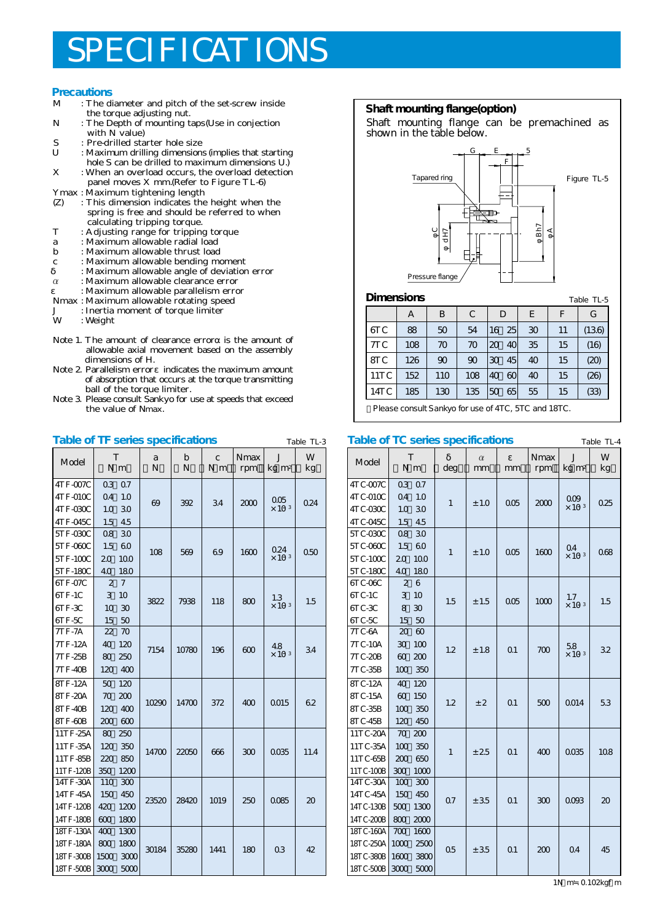# PECIFICATIONS

## **Precautions**<br>M : The di

- : The diameter and pitch of the set-screw inside the torque adjusting nut.<br>N : The Depth of mounting to
- N : The Depth of mounting taps(Use in conjection with N value)
- S : Pre-drilled starter hole size<br>II : Maximum drilling dimension
- : Maximum drilling dimensions (implies that starting
- hole S can be drilled to maximum dimensions  $U$ .<br>X: When an overload occurs, the overload detection : When an overload occurs, the overload detection panel moves X mm.(Refer to Figure TL-6)
- 
- Ymax : Maximum tightening length<br>
(Z) : This dimension indicates the : This dimension indicates the height when the spring is free and should be referred to when calculating tripping torque.<br>T : A diusting range for tripping
- T : Adjusting range for tripping torque
- a : Maximum allowable radial load
- : Maximum allowable thrust load
- c : Maximum allowable bending moment
- $\alpha$  : Maximum allowable angle of deviation error  $\alpha$  : Maximum allowable clearance error
- α : Maximum allowable clearance error
- ε : Maximum allowable parallelism error
- Nmax : Maximum allowable rotating speed
- J : Inertia moment of torque limiter
- : Weight
- Note 1. The amount of clearance error is the amount of allowable axial movement based on the assembly dimensions of H.
- Note 2. Parallelism error indicates the maximum amount of absorption that occurs at the torque transmitting ball of the torque limiter.
- Note 3. Please consult Sankyo for use at speeds that exceed the value of Nmax.

#### **Table of TF series specifications**

| Model                  | T                    | N <sub>m</sub> | a<br>N | b<br>N | $\overline{c}$<br>N <sub>m</sub> | Nmax<br>rpm | $\overline{J}$<br>$kg \, m2$    | W<br>kg |  |
|------------------------|----------------------|----------------|--------|--------|----------------------------------|-------------|---------------------------------|---------|--|
| 4TF-007C<br>$4TF-010C$ | Q <sub>3</sub><br>04 | 07<br>1.0      |        |        |                                  |             |                                 |         |  |
| 4TF-030C               | 1.0                  | 30             | 69     | 392    | 34                               | 2000        | 005<br>$\times$ 10 <sup>3</sup> | 0.24    |  |
| 4TF-045C               | 1.5                  | 4.5            |        |        |                                  |             |                                 |         |  |
| 5TF-030C               | 08                   | 30             |        |        |                                  |             |                                 |         |  |
| 5TF-060C               | 1.5                  | 60             |        |        |                                  |             | 0.24                            |         |  |
| 5TF-100C               | 20                   | 10.0           | 108    | 569    | 69                               | 1600        | $\times$ 10 <sup>3</sup>        | 050     |  |
| 5TF-180C               | 40                   | 180            |        |        |                                  |             |                                 |         |  |
| 6TF-07C                | 2                    | 7              |        |        |                                  |             |                                 |         |  |
| 6TF-1C                 | 3                    | 10             | 3822   |        |                                  |             | 1.3                             | 1.5     |  |
| 6TF-3C                 | 10                   | 30             |        | 7938   | 118                              | 800         | $\times$ 10 <sup>3</sup>        |         |  |
| 6TF-5C                 | 15                   | 50             |        |        |                                  |             |                                 |         |  |
| <b>7TF-7A</b>          | 22                   | 70             |        |        |                                  |             |                                 |         |  |
| 7TF-12A                | 40                   | 120            | 7154   | 10780  | 196                              | 600         | 48                              | 34      |  |
| <b>7TF-25B</b>         | 80                   | 250            |        |        |                                  |             | $\times$ 10 <sup>3</sup>        |         |  |
| <b>7TF-40B</b>         | 120                  | 400            |        |        |                                  |             |                                 |         |  |
| 8TF-12A                | 50                   | 120            |        |        |                                  |             |                                 |         |  |
| 8TF-20A                | 70                   | 200            |        |        |                                  |             |                                 |         |  |
| 8TF-40B                | 120                  | 400            | 10290  | 14700  | 372                              | 400         | 0015                            | 62      |  |
| 8TF-60B                | 200                  | 600            |        |        |                                  |             |                                 |         |  |
| 11TF-25A               | 80                   | 250            |        |        |                                  |             |                                 |         |  |
| 11TF-35A               | 120                  | 350            | 14700  | 22050  | 666                              | 300         | 0035                            | 11.4    |  |
| 11TF-85B               | 220                  | 850            |        |        |                                  |             |                                 |         |  |
| 11TF-120B              | 350                  | 1200           |        |        |                                  |             |                                 |         |  |
| 14TF-30A               | 110                  | 300            |        |        |                                  |             |                                 |         |  |
| 14TF-45A               | 150                  | 450            | 23520  | 28420  | 1019                             | 250         | 0085                            | 20      |  |
| 14TF-120B              | 420                  | 1200           |        |        |                                  |             |                                 |         |  |
| 14TF-180B              | 600                  | 1800           |        |        |                                  |             |                                 |         |  |
| 18TF-130A              | 400                  | 1300           |        |        |                                  |             |                                 |         |  |
| 18TF-180A              | 800                  | 1800           | 30184  | 35280  | 1441                             | 180         | 0 <sub>3</sub>                  | 42      |  |
| 18TF-300B              | 1500                 | 3000           |        |        |                                  |             |                                 |         |  |
| 18TF-500B              | 3000                 | 5000           |        |        |                                  |             |                                 |         |  |

#### **Shaft mounting flange(option)**

Shaft mounting flange can be premachined as shown in the table below.



#### **Dimensions**

| <b>Dimensions</b> |             |     |     |    |                 |    |    | Table TL-5 |  |  |
|-------------------|-------------|-----|-----|----|-----------------|----|----|------------|--|--|
|                   | А           | B   | C   | D  |                 | E  | F  | G          |  |  |
| 6TC               | 88          | 50  | 54  | 16 | 25              | 30 | 11 | (136)      |  |  |
| 7TC               | 108         | 70  | 70  | 20 | 40              | 35 | 15 | (16)       |  |  |
| STC               | 126         | 90  | 90  | 30 | 45              | 40 | 15 | (20)       |  |  |
| 11TC              | 152         | 110 | 108 | 40 | 60 <sup>°</sup> | 40 | 15 | (26)       |  |  |
| 14TC              | 185         | 130 | 135 | 50 | 65              | 55 | 15 | (33)       |  |  |
| $ -$              | .<br>-<br>. |     |     |    |                 |    |    |            |  |  |

Please consult Sankyo for use of 4TC, 5TC and 18TC.

#### Table TL-3 Table of TC series specifications Table TL-4

| Model          | T              | $N \, m$ | deg          | $\alpha$<br>mm | mm             | <b>Nmax</b><br>rpm | $\mathbf{J}$<br>$kg \, m^2$ | W<br>kg |
|----------------|----------------|----------|--------------|----------------|----------------|--------------------|-----------------------------|---------|
| 4TC-007C       | 03             | 0.7      |              |                |                |                    |                             |         |
| $4TC-010C$     | Q <sub>4</sub> | 1.0      | $\mathbf{1}$ | ±1.0           | 005            | 2000               | 009                         | 0.25    |
| 4TC-030C       | 1.0            | 30       |              |                |                |                    | $\times$ 10 <sup>3</sup>    |         |
| 4TC-045C       | 1.5            | 45       |              |                |                |                    |                             |         |
| 5TC-030C       | 0.8            | 30       |              |                |                |                    |                             |         |
| 5TC-060C       | 1.5            | 60       | $\mathbf{1}$ | ±1.0           | 005            | 1600               | 04                          | 068     |
| $5TC-100C$     | 20             | 10.0     |              |                |                |                    | $\times$ 10 <sup>3</sup>    |         |
| 5TC-180C       | 40             | 180      |              |                |                |                    |                             |         |
| 6TC-O6C        | $\overline{2}$ | 6        |              |                |                |                    |                             |         |
| $6TC-1C$       | 3              | 10       | 1.5          | ±1.5           | 005            | 1000               | 1.7                         | 1.5     |
| 6TC-3C         | 8              | 30       |              |                |                |                    | $\times$ 10 <sup>3</sup>    |         |
| 6TC-5C         | 15             | 50       |              |                |                |                    |                             |         |
| 7TC-6A         | 20             | 60       |              |                |                |                    |                             |         |
| 7TC-10A        | 30             | 100      | 1.2          | ±1.8           | Q <sub>1</sub> | 700                | 58                          | 32      |
| <b>7TC-20B</b> | 60             | 200      |              |                |                |                    | $\times$ 10 <sup>3</sup>    |         |
| <b>7TC-35B</b> | 100            | 350      |              |                |                |                    |                             |         |
| 8TC-12A        | 40             | 120      |              |                |                |                    |                             |         |
| <b>8TC-15A</b> | 60             | 150      | 1.2          | ± 2            | $\Omega$ 1     | 500                | 0014                        | 53      |
| <b>8TC-35B</b> | 100            | 350      |              |                |                |                    |                             |         |
| 8TC-45B        | 120            | 450      |              |                |                |                    |                             |         |
| 11TC-20A       | 70             | 200      |              |                |                |                    |                             |         |
| 11TC-35A       | 100            | 350      | $\mathbf{1}$ | ± 25           | $\Omega$ 1     | 400                | 0035                        | 108     |
| 11TC-65B       | 200            | 650      |              |                |                |                    |                             |         |
| 11TC-100B      | 300            | 1000     |              |                |                |                    |                             |         |
| 14TC-30A       | 100            | 300      |              |                |                |                    |                             |         |
| 14TC-45A       | 150            | 450      | 07           | ± 35           | $\Omega$ 1     | 300                | 0093                        | 20      |
| 14TC-130B      | 500            | 1300     |              |                |                |                    |                             |         |
| 14TC-200B      | 800            | 2000     |              |                |                |                    |                             |         |
| 18TC-160A      | 700            | 1600     |              |                |                |                    |                             |         |
| 18TC-250A      | 1000           | 2500     | 0.5          | ± 35           | 0 <sub>1</sub> | 200                | Q <sub>4</sub>              | 45      |
| 18TC-380B      | 1600           | 3800     |              |                |                |                    |                             |         |
| 18TC-500B      | 3000           | 5000     |              |                |                |                    |                             |         |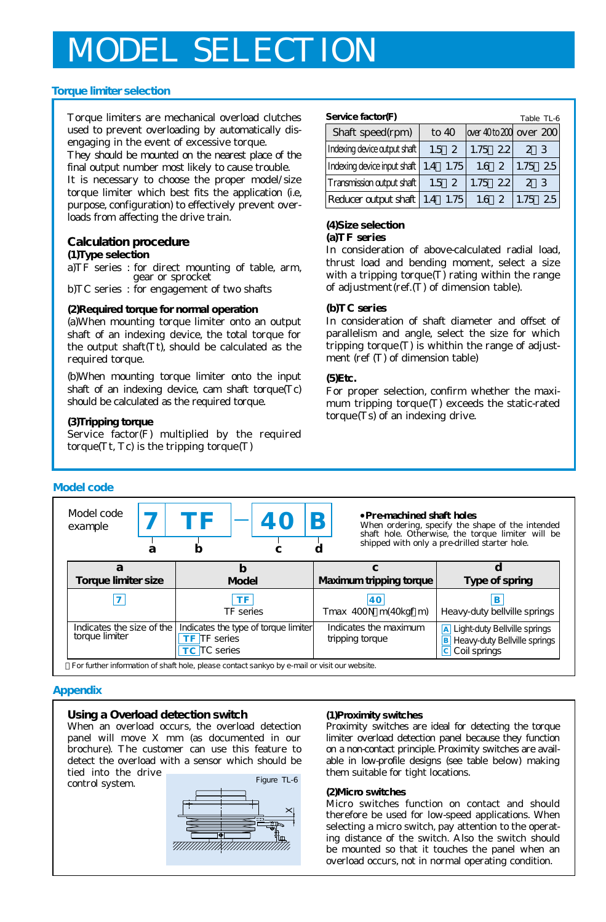# **ODEL SELECTION**

### **Torque limiter selection**

Torque limiters are mechanical overload clutches used to prevent overloading by automatically disengaging in the event of excessive torque.

They should be mounted on the nearest place of the final output number most likely to cause trouble.

It is necessary to choose the proper model/size torque limiter which best fits the application (i.e, purpose, configuration) to effectively prevent overloads from affecting the drive train.

## **Calculation procedure**

#### **(1)Type selection**

a)TF series : for direct mounting of table, arm, gear or sprocket

b)TC series : for engagement of two shafts

#### **(2)Required torque for normal operation**

(a)When mounting torque limiter onto an output shaft of an indexing device, the total torque for the output shaft(Tt), should be calculated as the required torque.

(b)When mounting torque limiter onto the input shaft of an indexing device, cam shaft torque(Tc) should be calculated as the required torque.

## **(3)Tripping torque**

Service factor(F) multiplied by the required torque( $Tt$ ,  $Tc$ ) is the tripping torque( $T$ )

| Service factor(F)<br>Table TL-6            |               |                        |             |  |  |  |  |  |  |
|--------------------------------------------|---------------|------------------------|-------------|--|--|--|--|--|--|
| Shaft speed(rpm)                           | to $40$       | over 40to 200 over 200 |             |  |  |  |  |  |  |
| Indexing device output shaft               | $1.5 \quad 2$ | $1.75$ 22              | 2. 3        |  |  |  |  |  |  |
| Indexing device input shaft 1.4 1.75       |               | $1.6\quad2$            | 1.75 2.5    |  |  |  |  |  |  |
| Transmission output shaft                  | $1.5 \t2$     | $1.75$ 22              | 23          |  |  |  |  |  |  |
| $ Reducer$ cutput shaft $ 1.4 \quad 1.75 $ |               | $1.6 \t2$              | 2.5<br>1.75 |  |  |  |  |  |  |

#### **(4)Size selection (a)TF series**

In consideration of above-calculated radial load, thrust load and bending moment, select a size with a tripping torque $(T)$  rating within the range of adjustment(ref.(T) of dimension table).

#### **(b)TC series**

In consideration of shaft diameter and offset of parallelism and angle, select the size for which tripping torque $(T)$  is whithin the range of adjustment (ref (T) of dimension table)

#### **(5)Etc.**

For proper selection, confirm whether the maximum tripping torque(T) exceeds the static-rated torque(Ts) of an indexing drive.

| Model code                                                                                   |  |                                                                             |                                          |                            |                                                                                               |                                                                                                                                                                                    |  |
|----------------------------------------------------------------------------------------------|--|-----------------------------------------------------------------------------|------------------------------------------|----------------------------|-----------------------------------------------------------------------------------------------|------------------------------------------------------------------------------------------------------------------------------------------------------------------------------------|--|
| Model code<br>example<br>а                                                                   |  | ТF                                                                          | <b>40</b>                                |                            |                                                                                               | Pre-machined shaft holes<br>When ordering, specify the shape of the intended<br>shaft hole. Otherwise, the torque limiter will be<br>shipped with only a pre-drilled starter hole. |  |
| а                                                                                            |  | b                                                                           |                                          |                            |                                                                                               |                                                                                                                                                                                    |  |
| Torque limiter size                                                                          |  | Model                                                                       |                                          | Maximum tripping torque    |                                                                                               | Type of spring                                                                                                                                                                     |  |
|                                                                                              |  | ΤF<br>TF series                                                             |                                          | 40<br>Tmax 400N m(40kgf m) |                                                                                               | Heavy-duty bellville springs                                                                                                                                                       |  |
| Indicates the size of the<br>torque limiter                                                  |  | Indicates the type of torque limiter<br>TF TF series<br><b>TC</b> TC series | Indicates the maximum<br>tripping torque |                            | A Light-duty Bellville springs<br><b>B</b> Heavy-duty Bellville springs<br>Coil springs<br> c |                                                                                                                                                                                    |  |
| For further information of shaft hole, please contact sankyo by e-mail or visit our website. |  |                                                                             |                                          |                            |                                                                                               |                                                                                                                                                                                    |  |

#### **Appendix**

#### **Using a Overload detection switch**

When an overload occurs, the overload detection panel will move X mm (as documented in our brochure). The customer can use this feature to detect the overload with a sensor which should be tied into the drive

control system.



#### **(1)Proximity switches**

Proximity switches are ideal for detecting the torque limiter overload detection panel because they function on a non-contact principle. Proximity switches are available in low-profile designs (see table below) making them suitable for tight locations.

#### **(2)Micro switches**

Micro switches function on contact and should therefore be used for low-speed applications. When selecting a micro switch, pay attention to the operating distance of the switch. Also the switch should be mounted so that it touches the panel when an overload occurs, not in normal operating condition.